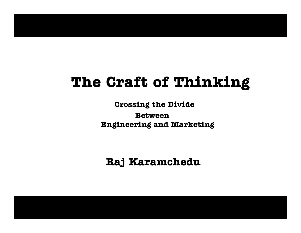# **The Craft of Thinking**

**Crossing the Divide BetweenEngineering and Marketing**

**Raj Karamchedu**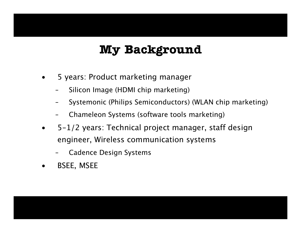## **My Background**

- •5 years: Product marketing manager
	- Silicon Image (HDMI chip marketing)
	- Systemonic (Philips Semiconductors) (WLAN chip marketing)
	- Chameleon Systems (software tools marketing)
- $\bullet$ 5-1/2 years: Technical project manager, staff design engineer, Wirel ess communication systems
	- Cadence Design Systems
- •BSEE, MSEE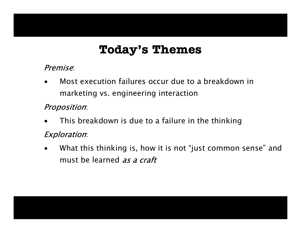## **Today's Themes**

#### Premise:

•Most execution failures occur due to a breakdown in marketing vs. engineering interaction

#### Proposition:

•This breakdown is due to a failure in the thinking

#### Exploration:

•What this thinking is, how it is not "just common sense" and must be learned as a craft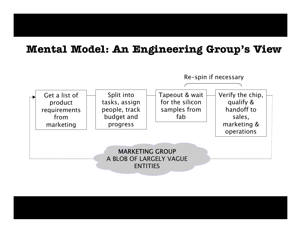#### **Mental Model: An Engineering Group's View**

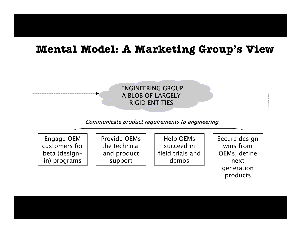#### **Mental Model: A Marketing Group's View**

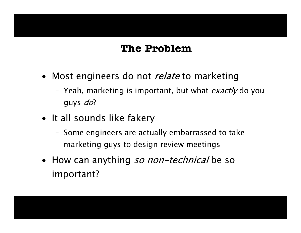#### **The Problem**

- Most engineers do not *relate* to marketing
	- Yeah, marketing is important, but what *exactly* do you guys do?
- It all sounds like fakery
	- Some engineers are actually embarrassed to take marketing guys to design review meetings
- How can anything so non-technical be so important?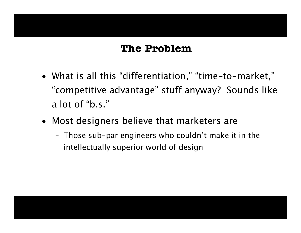#### **The Problem**

- What is all this "differentiation," "time-to-market," "competitive advantage" stuff anyway? Sounds like a lot of "b.s."
- Most designers believe that marketers are
	- Those sub-par engineers who couldn't make it in the intellectually superior world of design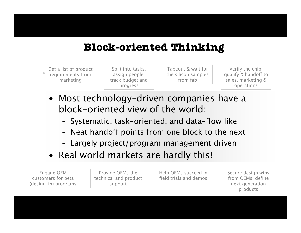### **Block-oriented Thinking**



- Most technology-driven companies have a block-oriented view of the world:
	- Systemati c, task-oriented, and data-flow like
	- Neat handoff points from one block to the next
	- Largel y project/progr am management driven
- Real world markets are hardly this!

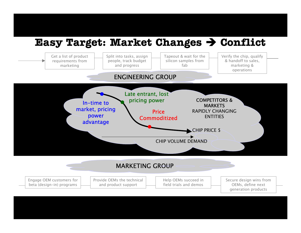## **Easy Target: Market Changes**  Î **Conflict**

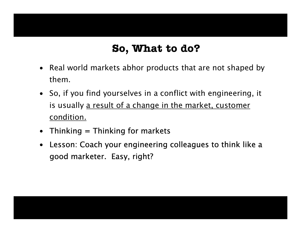## **So, What to do?**

- Real world markets abhor products that are not shaped by them.
- So, if you find yourselves in a conflict with engineering, it is usually <u>a result of a change in the market, customer</u> condition.
- Thinking  $=$  Thinking for markets
- Lesson: Coach your engineering colleagues to think like a good marketer. Easy, right?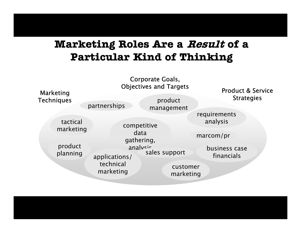## **Marketing Roles Are a Result of a Particular Kind of Thinking**

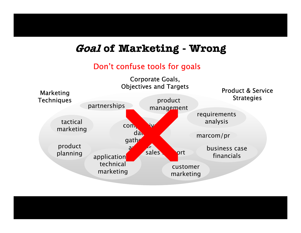#### **Goal of Marketing - Wrong**

#### Don't confuse tools for goals

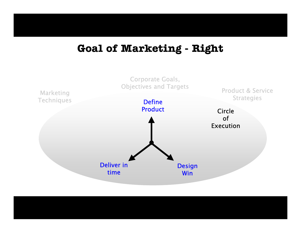#### **Goal of Marketing - Right**

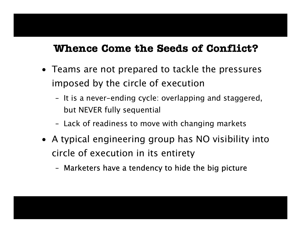#### **Whence Come the Seeds of Conflict?**

- Teams are not prepared to tackle the pressures imposed by the circle of execution
	- It is a never -ending cycle: overlapping and staggered, but NEVER fully sequential
	- Lack of readiness to move with changing markets
- A typical engineering group has NO visibility into circle of execution in its entirety
	- Marketers have a tendency to hide the big picture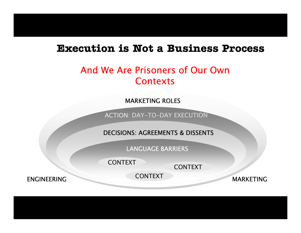#### **Execution is Not a Business Process**

#### And We Are Prisoners of Our Own **Contexts**

MARKETING ROLES

ACTION: DAY-TO-DA Y EXECUTION

DECISIONS: AGREEMENTS & DISSENTS

LANGUAGE BARRIERS

CONTEXT

CONTEXT

CONTEXT

ENGINEERING

MARKETING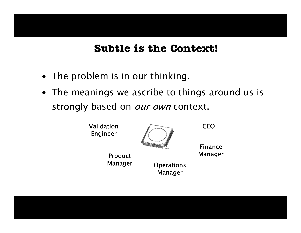#### **Subtle is the Context!**

- The problem is in our thinking.
- The meanings we ascribe to things around us is strongly based on *our own* context.

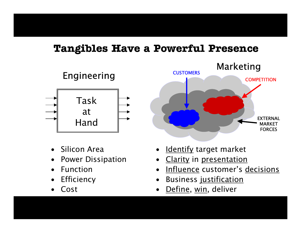#### **Tangibles Have a Powerful Presence**



- •Silicon Area
- •Power Dissipation
- •Function
- •**Efficiency**
- •Cost



- •<u>Identify</u> target market
- •Clarity in presentation
- •I n flu e n c e customer's decisions
- $\bullet$ Business justification
- •<u>Define, win</u>, deliver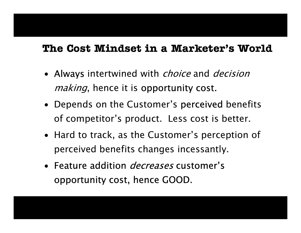#### **The Cost Mindset in a Marketer's World**

- Always intertwined with *choice* and *decision* making, hence it is opportunity cost.
- Depends on the Customer's perceived benefits of competitor's product. Less cost is better.
- Hard to track, as the Customer's perception of perceived benefits changes incessantly.
- Feature addition *decreases* customer's opportunity cost, hence GOOD.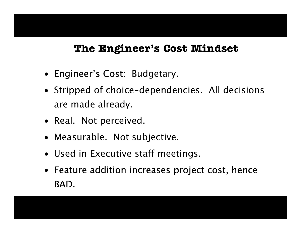#### **The Engineer's Cost Mindset**

- Engineer's Cost: Budgetary.
- Stripped of choice-dependencies. All decisions are made already.
- Real. Not perceived.
- Measurable. Not subjective.
- Used in Executive staff meetings.
- Feature addition increases project cost, hence BAD.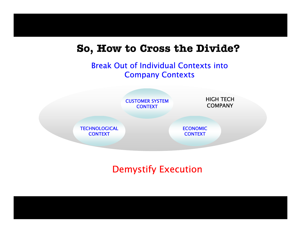#### **So, How to Cross the Divide?**

#### Break Out of Individual Contexts into Company Contexts



#### Demystify Execution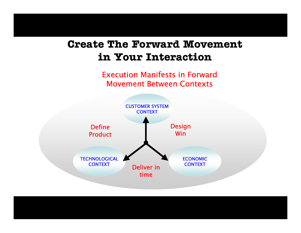## **Create The Forward Movement in Your Interaction**

Execution Manifests in Forward Movement Between Contexts

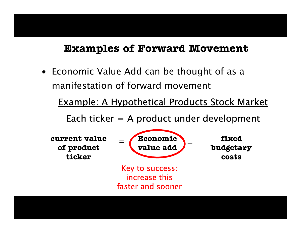#### **Examples of Forward Movement**

• Economic Value Add can be thought of as a manifestation of forward movement

Example: A Hypothetical Products Stock Market

Each ticker  $=$  A product under development

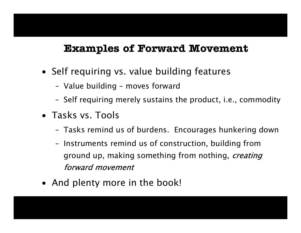#### **Examples of Forward Movement**

- Self requiring vs. value building features
	- Value building moves forward
	- Self requiring mer ely sustains the product, i.e., commodity
- •Tasks vs. Tools
	- Tasks remind us of burdens. Encourages hunkering down
	- Instruments remind us of construction, building from ground up, making something from nothing, *creating* forward movement
- And plenty more in the book!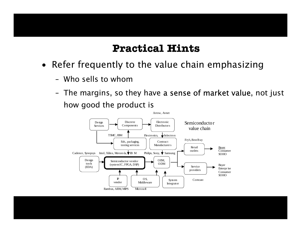#### **Practical Hints**

- Refer frequently to the value chain emphasizing
	- –Who sells to whom
	- The margins, so t hey have a sense of market value, not just how good the product is

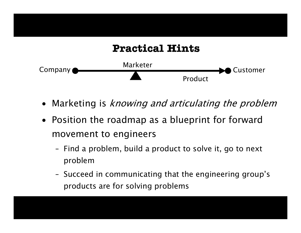

- $\bullet$ Marketing is *knowing and articulating the problem*
- Position the roadmap as a blueprint for forward movement to engineers
	- Find a problem, build a product to solve it, go t o next problem
	- Succeed in communicating that the engineering group's products are for solving problems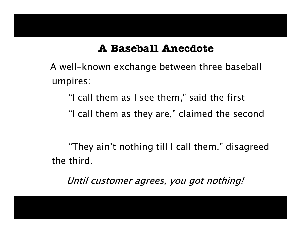#### **A Baseball Anecdote**

A well-known exchange between three baseball umpires:

"I call them as I see them," said the first

"I call them as they are," claimed the second

"They ain't nothing till I call them." disagreed the third.

Until customer agrees, you got nothing!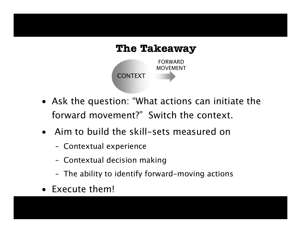

- Ask the question: "What actions can initiate the forward movement?" Switch the context.
- Aim to build the skill-sets measured on
	- Contextual experience
	- Contextual decision making
	- The ability to identify forward-moving actions
- Execute them!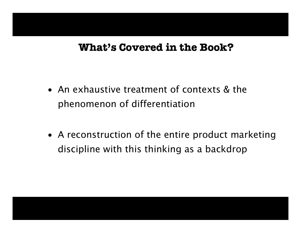#### **What's Covered in the Book?**

- An exhaustive treatment of contexts & the phenomenon of differentiation
- A reconstruction of the entire product marketing discipline with this thinking as a backdrop